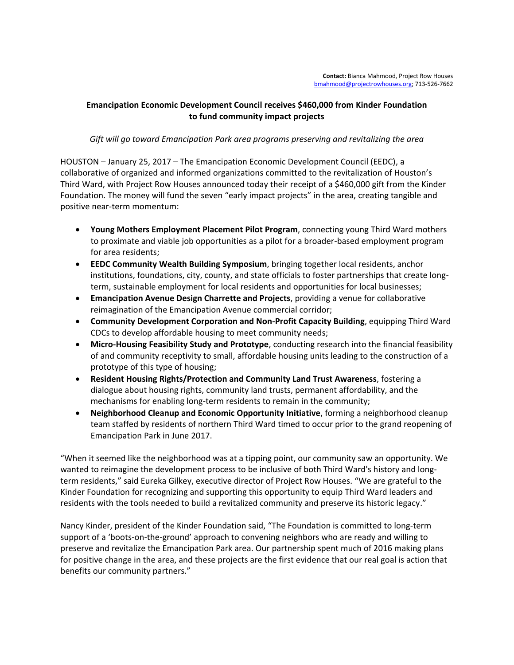## **Emancipation Economic Development Council receives \$460,000 from Kinder Foundation to fund community impact projects**

## *Gift will go toward Emancipation Park area programs preserving and revitalizing the area*

HOUSTON – January 25, 2017 – The Emancipation Economic Development Council (EEDC), a collaborative of organized and informed organizations committed to the revitalization of Houston's Third Ward, with Project Row Houses announced today their receipt of a \$460,000 gift from the Kinder Foundation. The money will fund the seven "early impact projects" in the area, creating tangible and positive near-term momentum:

- **Young Mothers Employment Placement Pilot Program**, connecting young Third Ward mothers to proximate and viable job opportunities as a pilot for a broader-based employment program for area residents;
- **EEDC Community Wealth Building Symposium**, bringing together local residents, anchor institutions, foundations, city, county, and state officials to foster partnerships that create longterm, sustainable employment for local residents and opportunities for local businesses;
- **Emancipation Avenue Design Charrette and Projects**, providing a venue for collaborative reimagination of the Emancipation Avenue commercial corridor;
- **Community Development Corporation and Non-Profit Capacity Building**, equipping Third Ward CDCs to develop affordable housing to meet community needs;
- **Micro-Housing Feasibility Study and Prototype**, conducting research into the financial feasibility of and community receptivity to small, affordable housing units leading to the construction of a prototype of this type of housing;
- **Resident Housing Rights/Protection and Community Land Trust Awareness**, fostering a dialogue about housing rights, community land trusts, permanent affordability, and the mechanisms for enabling long-term residents to remain in the community;
- **Neighborhood Cleanup and Economic Opportunity Initiative**, forming a neighborhood cleanup team staffed by residents of northern Third Ward timed to occur prior to the grand reopening of Emancipation Park in June 2017.

"When it seemed like the neighborhood was at a tipping point, our community saw an opportunity. We wanted to reimagine the development process to be inclusive of both Third Ward's history and longterm residents," said Eureka Gilkey, executive director of Project Row Houses. "We are grateful to the Kinder Foundation for recognizing and supporting this opportunity to equip Third Ward leaders and residents with the tools needed to build a revitalized community and preserve its historic legacy."

Nancy Kinder, president of the Kinder Foundation said, "The Foundation is committed to long-term support of a 'boots-on-the-ground' approach to convening neighbors who are ready and willing to preserve and revitalize the Emancipation Park area. Our partnership spent much of 2016 making plans for positive change in the area, and these projects are the first evidence that our real goal is action that benefits our community partners."